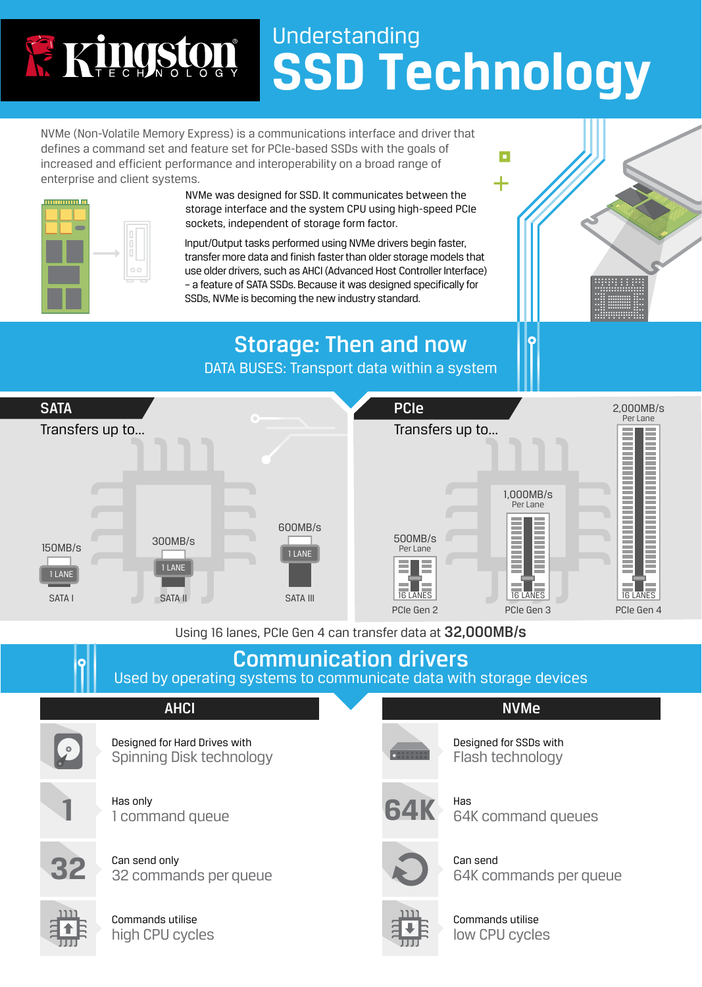## Understanding Ringston **SSD Technology**

NVMe (Non-Volatile Memory Express) is a communications interface and driver that defines a command set and feature set for PCIe-based SSDs with the goals of increased and efficient performance and interoperability on a broad range of enterprise and client systems.



NVMe was designed for SSD. It communicates between the storage interface and the system CPU using high-speed PCIe sockets, independent of storage form factor.



Input/Output tasks performed using NVMe drivers begin faster, transfer more data and finish faster than older storage models that use older drivers, such as AHCI (Advanced Host Controller Interface) – a feature of SATA SSDs. Because it was designed specifically for SSDs, NVMe is becoming the new industry standard.

## Storage: Then and now

DATA BUSES: Transport data within a system



Using 16 lanes, PCIe Gen 4 can transfer data at 32,000MB/s

## Communication drivers

Used by operating systems to communicate data with storage devices

## **AHCI**

Designed for Hard Drives with Spinning Disk technology



Q

Has only 1 command queue

Can send only 32 commands per queue



Commands utilise high CPU cycles



Designed for SSDs with Flash technology

П

╋

NVMe



Has 64K command queues



Can send 64K commands per queue



Commands utilise low CPU cycles